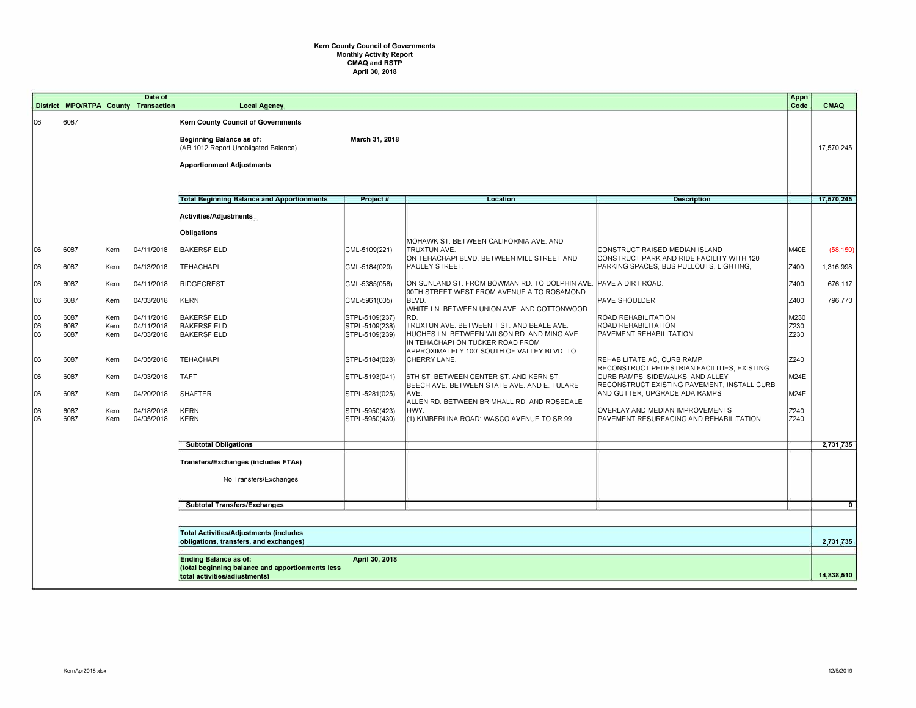## **Kern County Council of Governments Monthly Activity Report CMAQ and RSTP April 30, 2018**

|                            |                                                                                         |                                      | Date of<br>District MPO/RTPA County Transaction                    | <b>Local Agency</b>                                                                                                                        |                                                                                        |                                                                                                                                                                                                                                                                                              |                                                                                                                                                                                                | Appn<br>Code                         | CMAQ         |
|----------------------------|-----------------------------------------------------------------------------------------|--------------------------------------|--------------------------------------------------------------------|--------------------------------------------------------------------------------------------------------------------------------------------|----------------------------------------------------------------------------------------|----------------------------------------------------------------------------------------------------------------------------------------------------------------------------------------------------------------------------------------------------------------------------------------------|------------------------------------------------------------------------------------------------------------------------------------------------------------------------------------------------|--------------------------------------|--------------|
| 06                         | 6087                                                                                    |                                      |                                                                    | Kern County Council of Governments<br>Beginning Balance as of:<br>(AB 1012 Report Unobligated Balance)<br><b>Apportionment Adjustments</b> | March 31, 2018                                                                         |                                                                                                                                                                                                                                                                                              |                                                                                                                                                                                                |                                      | 17,570,245   |
|                            |                                                                                         |                                      |                                                                    | <b>Total Beginning Balance and Apportionments</b>                                                                                          | Project #                                                                              | Location                                                                                                                                                                                                                                                                                     | <b>Description</b>                                                                                                                                                                             |                                      | 17,570,245   |
|                            |                                                                                         |                                      |                                                                    | Activities/Adjustments                                                                                                                     |                                                                                        |                                                                                                                                                                                                                                                                                              |                                                                                                                                                                                                |                                      |              |
|                            |                                                                                         |                                      |                                                                    | Obligations                                                                                                                                |                                                                                        |                                                                                                                                                                                                                                                                                              |                                                                                                                                                                                                |                                      |              |
|                            |                                                                                         |                                      |                                                                    |                                                                                                                                            |                                                                                        | MOHAWK ST. BETWEEN CALIFORNIA AVE. AND                                                                                                                                                                                                                                                       |                                                                                                                                                                                                |                                      |              |
| 06                         | 6087                                                                                    | Kern                                 | 04/11/2018                                                         | <b>BAKERSFIELD</b>                                                                                                                         | CML-5109(221)                                                                          | TRUXTUN AVE.<br>ON TEHACHAPI BLVD. BETWEEN MILL STREET AND                                                                                                                                                                                                                                   | ICONSTRUCT RAISED MEDIAN ISLAND<br>CONSTRUCT PARK AND RIDE FACILITY WITH 120                                                                                                                   | M40E                                 | (58, 150)    |
| 106                        | 6087                                                                                    | Kern                                 | 04/13/2018                                                         | TEHACHAPI                                                                                                                                  | CML-5184(029)                                                                          | PAULEY STREET.                                                                                                                                                                                                                                                                               | PARKING SPACES, BUS PULLOUTS, LIGHTING,                                                                                                                                                        | Z400                                 | 1,316,998    |
| 06                         | 6087                                                                                    | Kern                                 | 04/11/2018                                                         | RIDGECREST                                                                                                                                 | CML-5385(058)                                                                          | ON SUNLAND ST. FROM BOWMAN RD. TO DOLPHIN AVE. PAVE A DIRT ROAD.<br>90TH STREET WEST FROM AVENUE A TO ROSAMOND                                                                                                                                                                               |                                                                                                                                                                                                | Z400                                 | 676,117      |
| 06                         | 6087                                                                                    | Kern                                 | 04/03/2018                                                         | <b>KERN</b>                                                                                                                                | CML-5961(005)                                                                          | BLVD.                                                                                                                                                                                                                                                                                        | <b>PAVE SHOULDER</b>                                                                                                                                                                           | Z400                                 | 796,770      |
| 06<br>06<br>06<br>06<br>06 | 6087<br>6087<br>6087<br>6087<br>6087                                                    | Kern<br>Kern<br>Kern<br>Kern<br>Kern | 04/11/2018<br>04/11/2018<br>04/03/2018<br>04/05/2018<br>04/03/2018 | <b>BAKERSFIELD</b><br><b>BAKERSFIELD</b><br><b>BAKERSFIELD</b><br>TEHACHAPI<br><b>TAFT</b>                                                 | STPL-5109(237)<br>STPL-5109(238)<br>STPL-5109(239)<br>STPL-5184(028)<br>STPL-5193(041) | WHITE LN. BETWEEN UNION AVE. AND COTTONWOOD<br>RD.<br>TRUXTUN AVE. BETWEEN T ST. AND BEALE AVE.<br>HUGHES LN. BETWEEN WILSON RD. AND MING AVE.<br>IN TEHACHAPI ON TUCKER ROAD FROM<br>APPROXIMATELY 100' SOUTH OF VALLEY BLVD. TO<br>CHERRY LANE.<br>6TH ST. BETWEEN CENTER ST. AND KERN ST. | <b>ROAD REHABILITATION</b><br>ROAD REHABILITATION<br>PAVEMENT REHABILITATION<br>REHABILITATE AC, CURB RAMP.<br>RECONSTRUCT PEDESTRIAN FACILITIES, EXISTING<br>CURB RAMPS, SIDEWALKS, AND ALLEY | M230<br>Z230<br>Z230<br>Z240<br>M24E |              |
| 06                         | 6087                                                                                    | Kern                                 | 04/20/2018                                                         | <b>SHAFTER</b>                                                                                                                             | STPL-5281(025)                                                                         | BEECH AVE, BETWEEN STATE AVE, AND E. TULARE<br>AVE.                                                                                                                                                                                                                                          | RECONSTRUCT EXISTING PAVEMENT, INSTALL CURB<br>AND GUTTER, UPGRADE ADA RAMPS                                                                                                                   | M24E                                 |              |
| 06<br>06                   | 6087<br>6087                                                                            | Kern<br>Kern                         | 04/18/2018<br>04/05/2018                                           | <b>KERN</b><br><b>KERN</b>                                                                                                                 | STPL-5950(423)<br>STPL-5950(430)                                                       | ALLEN RD. BETWEEN BRIMHALL RD. AND ROSEDALE<br>HWY.<br>(1) KIMBERLINA ROAD: WASCO AVENUE TO SR 99                                                                                                                                                                                            | OVERLAY AND MEDIAN IMPROVEMENTS<br>PAVEMENT RESURFACING AND REHABILITATION                                                                                                                     | Z240<br>Z240                         |              |
|                            |                                                                                         |                                      |                                                                    |                                                                                                                                            |                                                                                        |                                                                                                                                                                                                                                                                                              |                                                                                                                                                                                                |                                      |              |
|                            |                                                                                         |                                      |                                                                    | <b>Subtotal Obligations</b>                                                                                                                |                                                                                        |                                                                                                                                                                                                                                                                                              |                                                                                                                                                                                                |                                      | 2,731,735    |
|                            |                                                                                         |                                      |                                                                    | Transfers/Exchanges (includes FTAs)<br>No Transfers/Exchanges                                                                              |                                                                                        |                                                                                                                                                                                                                                                                                              |                                                                                                                                                                                                |                                      |              |
|                            |                                                                                         |                                      |                                                                    |                                                                                                                                            |                                                                                        |                                                                                                                                                                                                                                                                                              |                                                                                                                                                                                                |                                      |              |
|                            |                                                                                         |                                      |                                                                    | <b>Subtotal Transfers/Exchanges</b>                                                                                                        |                                                                                        |                                                                                                                                                                                                                                                                                              |                                                                                                                                                                                                |                                      | $\mathbf{0}$ |
|                            |                                                                                         |                                      |                                                                    |                                                                                                                                            |                                                                                        |                                                                                                                                                                                                                                                                                              |                                                                                                                                                                                                |                                      |              |
|                            | <b>Total Activities/Adjustments (includes</b><br>obligations, transfers, and exchanges) |                                      |                                                                    |                                                                                                                                            |                                                                                        |                                                                                                                                                                                                                                                                                              |                                                                                                                                                                                                |                                      | 2,731,735    |
|                            | <b>Ending Balance as of:</b><br>April 30, 2018                                          |                                      |                                                                    |                                                                                                                                            |                                                                                        |                                                                                                                                                                                                                                                                                              |                                                                                                                                                                                                |                                      |              |
|                            |                                                                                         |                                      |                                                                    | (total beginning balance and apportionments less<br>total activities/adiustments)                                                          |                                                                                        |                                                                                                                                                                                                                                                                                              |                                                                                                                                                                                                |                                      |              |